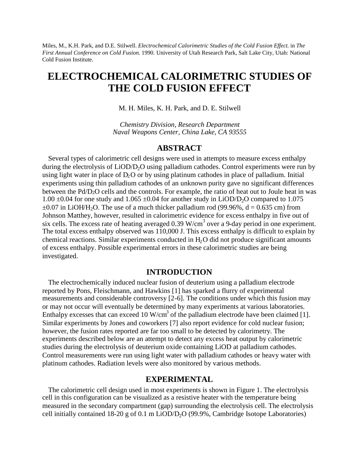Miles, M., K.H. Park, and D.E. Stilwell. *Electrochemical Calorimetric Studies of the Cold Fusion Effect*. in *The First Annual Conference on Cold Fusion*. 1990. University of Utah Research Park, Salt Lake City, Utah: National Cold Fusion Institute.

# **ELECTROCHEMICAL CALORIMETRIC STUDIES OF THE COLD FUSION EFFECT**

M. H. Miles, K. H. Park, and D. E. Stilwell

*Chemistry Division, Research Department Naval Weapons Center, China Lake, CA 93555*

## **ABSTRACT**

Several types of calorimetric cell designs were used in attempts to measure excess enthalpy during the electrolysis of LiOD/D<sub>2</sub>O using palladium cathodes. Control experiments were run by using light water in place of  $D_2O$  or by using platinum cathodes in place of palladium. Initial experiments using thin palladium cathodes of an unknown purity gave no significant differences between the Pd/D<sub>2</sub>O cells and the controls. For example, the ratio of heat out to Joule heat in was 1.00  $\pm$ 0.04 for one study and 1.065  $\pm$ 0.04 for another study in LiOD/D<sub>2</sub>O compared to 1.075  $\pm 0.07$  in LiOH/H<sub>2</sub>O. The use of a much thicker palladium rod (99.96%,  $d = 0.635$  cm) from Johnson Matthey, however, resulted in calorimetric evidence for excess enthalpy in five out of six cells. The excess rate of heating averaged 0.39 W/cm<sup>3</sup> over a 9-day period in one experiment. The total excess enthalpy observed was 110,000 J. This excess enthalpy is difficult to explain by chemical reactions. Similar experiments conducted in  $H<sub>2</sub>O$  did not produce significant amounts of excess enthalpy. Possible experimental errors in these calorimetric studies are being investigated.

## **INTRODUCTION**

The electrochemically induced nuclear fusion of deuterium using a palladium electrode reported by Pons, Fleischmann, and Hawkins [1] has sparked a flurry of experimental measurements and considerable controversy [2-6]. The conditions under which this fusion may or may not occur will eventually be determined by many experiments at various laboratories. Enthalpy excesses that can exceed 10 W/cm<sup>3</sup> of the palladium electrode have been claimed [1]. Similar experiments by Jones and coworkers [7] also report evidence for cold nuclear fusion; however, the fusion rates reported are far too small to be detected by calorimetry. The experiments described below are an attempt to detect any excess heat output by calorimetric studies during the electrolysis of deuterium oxide containing LiOD at palladium cathodes. Control measurements were run using light water with palladium cathodes or heavy water with platinum cathodes. Radiation levels were also monitored by various methods.

# **EXPERIMENTAL**

The calorimetric cell design used in most experiments is shown in Figure 1. The electrolysis cell in this configuration can be visualized as a resistive heater with the temperature being measured in the secondary compartment (gap) surrounding the electrolysis cell. The electrolysis cell initially contained 18-20 g of 0.1 m LiOD/D<sub>2</sub>O (99.9%, Cambridge Isotope Laboratories)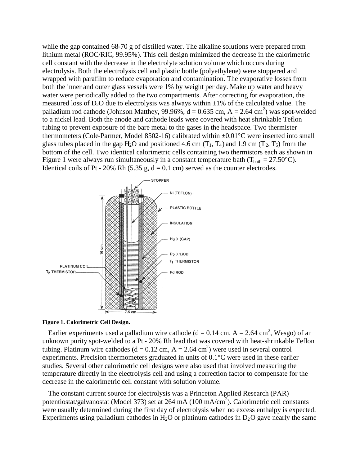while the gap contained 68-70 g of distilled water. The alkaline solutions were prepared from lithium metal (ROC/RIC, 99.95%). This cell design minimized the decrease in the calorimetric cell constant with the decrease in the electrolyte solution volume which occurs during electrolysis. Both the electrolysis cell and plastic bottle (polyethylene) were stoppered and wrapped with parafilm to reduce evaporation and contamination. The evaporative losses from both the inner and outer glass vessels were 1% by weight per day. Make up water and heavy water were periodically added to the two compartments. After correcting for evaporation, the measured loss of  $D_2O$  due to electrolysis was always within  $\pm 1\%$  of the calculated value. The palladium rod cathode (Johnson Matthey, 99.96%,  $d = 0.635$  cm,  $A = 2.64$  cm<sup>2</sup>) was spot-welded to a nickel lead. Both the anode and cathode leads were covered with heat shrinkable Teflon tubing to prevent exposure of the bare metal to the gases in the headspace. Two thermister thermometers (Cole-Parmer, Model 8502-16) calibrated within ±0.01°C were inserted into small glass tubes placed in the gap H<sub>2</sub>O and positioned 4.6 cm  $(T_1, T_4)$  and 1.9 cm  $(T_2, T_5)$  from the bottom of the cell. Two identical calorimetric cells containing two thermistors each as shown in Figure 1 were always run simultaneously in a constant temperature bath ( $T_{\text{bath}} = 27.50^{\circ}$ C). Identical coils of Pt - 20% Rh (5.35 g,  $d = 0.1$  cm) served as the counter electrodes.





Earlier experiments used a palladium wire cathode ( $d = 0.14$  cm,  $A = 2.64$  cm<sup>2</sup>, Wesgo) of an unknown purity spot-welded to a Pt - 20% Rh lead that was covered with heat-shrinkable Teflon tubing. Platinum wire cathodes ( $d = 0.12$  cm,  $A = 2.64$  cm<sup>2</sup>) were used in several control experiments. Precision thermometers graduated in units of 0.1°C were used in these earlier studies. Several other calorimetric cell designs were also used that involved measuring the temperature directly in the electrolysis cell and using a correction factor to compensate for the decrease in the calorimetric cell constant with solution volume.

The constant current source for electrolysis was a Princeton Applied Research (PAR) potentiostat/galvanostat (Model 373) set at 264 mA (100 mA/cm<sup>2</sup>). Calorimetric cell constants were usually determined during the first day of electrolysis when no excess enthalpy is expected. Experiments using palladium cathodes in  $H_2O$  or platinum cathodes in  $D_2O$  gave nearly the same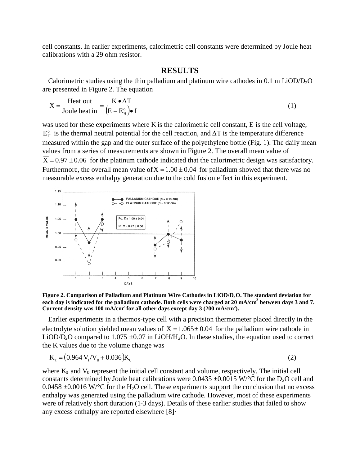cell constants. In earlier experiments, calorimetric cell constants were determined by Joule heat calibrations with a 29 ohm resistor.

#### **RESULTS**

Calorimetric studies using the thin palladium and platinum wire cathodes in  $0.1 \text{ m }$  LiOD/D<sub>2</sub>O are presented in Figure 2. The equation

$$
X = \frac{\text{Heat out}}{\text{Joule heat in}} = \frac{K \cdot \Delta T}{(E - E_H^{\circ}) \cdot I}
$$
 (1)

was used for these experiments where K is the calorimetric cell constant, E is the cell voltage,  $E_H^{\circ}$  is the thermal neutral potential for the cell reaction, and  $\Delta T$  is the temperature difference measured within the gap and the outer surface of the polyethylene bottle (Fig. 1). The daily mean values from a series of measurements are shown in Figure 2. The overall mean value of  $\overline{X}$  = 0.97 ± 0.06 for the platinum cathode indicated that the calorimetric design was satisfactory. Furthermore, the overall mean value of  $\overline{X} = 1.00 \pm 0.04$  for palladium showed that there was no measurable excess enthalpy generation due to the cold fusion effect in this experiment.



**Figure 2. Comparison of Palladium and Platinum Wire Cathodes in LiOD/D2O. The standard deviation for each day is indicated for the palladium cathode. Both cells were charged at 20 mA/cm<sup>2</sup> between days 3 and 7. Current density was 100 mA/cm<sup>2</sup> for all other days except day 3 (200 mA/cm<sup>2</sup> ).**

Earlier experiments in a thermos-type cell with a precision thermometer placed directly in the electrolyte solution yielded mean values of  $\overline{X} = 1.065 \pm 0.04$  for the palladium wire cathode in LiOD/D<sub>2</sub>O compared to 1.075  $\pm$ 0.07 in LiOH/H<sub>2</sub>O. In these studies, the equation used to correct the K values due to the volume change was

$$
K_t = (0.964 V_t/V_0 + 0.036)K_0
$$
\n(2)

where  $K_0$  and  $V_0$  represent the initial cell constant and volume, respectively. The initial cell constants determined by Joule heat calibrations were 0.0435  $\pm$ 0.0015 W/°C for the D<sub>2</sub>O cell and  $0.0458 \pm 0.0016$  W/°C for the H<sub>2</sub>O cell. These experiments support the conclusion that no excess enthalpy was generated using the palladium wire cathode. However, most of these experiments were of relatively short duration (1-3 days). Details of these earlier studies that failed to show any excess enthalpy are reported elsewhere [8]·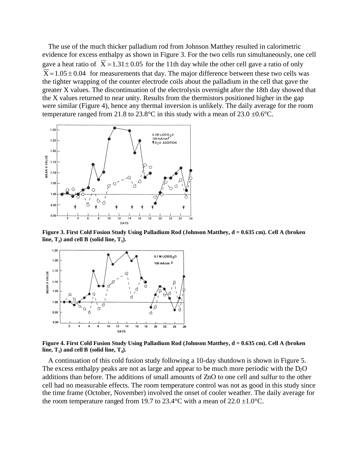The use of the much thicker palladium rod from Johnson Matthey resulted in calorimetric evidence for excess enthalpy as shown in Figure 3. For the two cells run simultaneously, one cell gave a heat ratio of  $\overline{X} = 1.31 \pm 0.05$  for the 11th day while the other cell gave a ratio of only  $\overline{X}$  = 1.05  $\pm$  0.04 for measurements that day. The major difference between these two cells was the tighter wrapping of the counter electrode coils about the palladium in the cell that gave the greater X values. The discontinuation of the electrolysis overnight after the 18th day showed that the X values returned to near unity. Results from the thermistors positioned higher in the gap were similar (Figure 4), hence any thermal inversion is unlikely. The daily average for the room temperature ranged from 21.8 to 23.8°C in this study with a mean of 23.0  $\pm$ 0.6°C.



**Figure 3. First Cold Fusion Study Using Palladium Rod (Johnson Matthey, d = 0.635 cm). Cell A (broken**  $\lim_{t \to \infty}$  **T**<sub>2</sub>) and cell **B** (solid line, T<sub>5</sub>).



**Figure 4. First Cold Fusion Study Using Palladium Rod (Johnson Matthey, d = 0.635 cm). Cell A (broken**  $\lim_{n \to \infty} \mathbf{T}_1$  and cell **B** (solid line,  $\mathbf{T}_4$ ).

A continuation of this cold fusion study following a 10-day shutdown is shown in Figure 5. The excess enthalpy peaks are not as large and appear to be much more periodic with the  $D_2O$ additions than before. The additions of small amounts of ZnO to one cell and sulfur to the other cell had no measurable effects. The room temperature control was not as good in this study since the time frame (October, November) involved the onset of cooler weather. The daily average for the room temperature ranged from 19.7 to 23.4 °C with a mean of 22.0  $\pm$ 1.0 °C.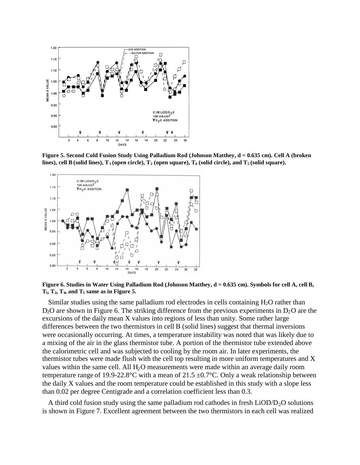

**Figure 5. Second Cold Fusion Study Using Palladium Rod (Johnson Matthey, d = 0.635 cm). Cell A (broken lines), cell B (solid lines), T<sup>1</sup> (open circle), T<sup>2</sup> (open square), T<sup>4</sup> (solid circle), and T<sup>5</sup> (solid square).**



**Figure 6. Studies in Water Using Palladium Rod (Johnson Matthey, d = 0.635 cm). Symbols for cell A, cell B,**  $T_1$ ,  $T_2$ ,  $T_4$ , and  $T_5$  same as in Figure 5.

Similar studies using the same palladium rod electrodes in cells containing  $H_2O$  rather than  $D_2O$  are shown in Figure 6. The striking difference from the previous experiments in  $D_2O$  are the excursions of the daily mean X values into regions of less than unity. Some rather large differences between the two thermistors in cell Β(solid lines) suggest that thermal inversions were occasionally occurring. At times, a temperature instability was noted that was likely due to a mixing of the air in the glass thermistor tube. A portion of the thermistor tube extended above the calorimetric cell and was subjected to cooling by the room air. In later experiments, the thermistor tubes were made flush with the cell top resulting in more uniform temperatures and X values within the same cell. All  $H_2O$  measurements were made within an average daily room temperature range of 19.9-22.8°C with a mean of 21.5  $\pm$ 0.7°C. Only a weak relationship between the daily X values and the room temperature could be established in this study with a slope less than 0.02 per degree Centigrade and a correlation coefficient less than 0.3.

A third cold fusion study using the same palladium rod cathodes in fresh  $LiOD/D<sub>2</sub>O$  solutions is shown in Figure 7. Excellent agreement between the two thermistors in each cell was realized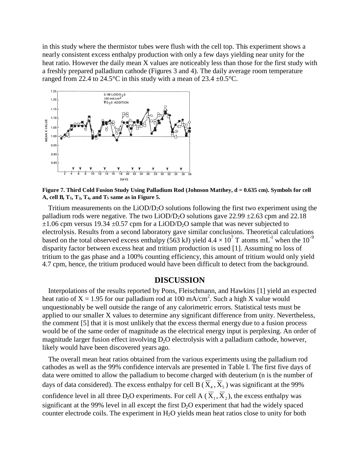in this study where the thermistor tubes were flush with the cell top. This experiment shows a nearly consistent excess enthalpy production with only a few days yielding near unity for the heat ratio. However the daily mean X values are noticeably less than those for the first study with a freshly prepared palladium cathode (Figures 3 and 4). The daily average room temperature ranged from 22.4 to 24.5°C in this study with a mean of 23.4  $\pm$ 0.5°C.



Figure 7. Third Cold Fusion Study Using Palladium Rod (Johnson Matthey, d = 0.635 cm). Symbols for cell A, cell B,  $T_1$ ,  $T_2$ ,  $T_4$ , and  $T_5$  same as in Figure 5.

Tritium measurements on the LiOD/D2O solutions following the first two experiment using the palladium rods were negative. The two LiOD/D<sub>2</sub>O solutions gave 22.99  $\pm$ 2.63 cpm and 22.18  $\pm 1.06$  cpm versus 19.34  $\pm 0.57$  cpm for a LiOD/D<sub>2</sub>O sample that was never subjected to electrolysis. Results from a second laboratory gave similar conclusions. Theoretical calculations based on the total observed excess enthalpy (563 kJ) yield  $4.4 \times 10^7$  T atoms mL<sup>-1</sup> when the 10<sup>-9</sup> disparity factor between excess heat and tritium production is used [1]. Assuming no loss of tritium to the gas phase and a 100% counting efficiency, this amount of tritium would only yield 4.7 cpm, hence, the tritium produced would have been difficult to detect from the background.

#### **DISCUSSION**

Interpolations of the results reported by Pons, Fleischmann, and Hawkins [1] yield an expected heat ratio of  $X = 1.95$  for our palladium rod at 100 mA/cm<sup>2</sup>. Such a high X value would unquestionably be well outside the range of any calorimetric errors. Statistical tests must be applied to our smaller X values to determine any significant difference from unity. Nevertheless, the comment [5] that it is most unlikely that the excess thermal energy due to a fusion process would be of the same order of magnitude as the electrical energy input is perplexing. An order of magnitude larger fusion effect involving  $D_2O$  electrolysis with a palladium cathode, however, likely would have been discovered years ago.

The overall mean heat ratios obtained from the various experiments using the palladium rod cathodes as well as the 99% confidence intervals are presented in Table I. The first five days of data were omitted to allow the palladium to become charged with deuterium (n is the number of days of data considered). The excess enthalpy for cell B ( $X_4$ ,  $X_5$ ) was significant at the 99% confidence level in all three  $D_2O$  experiments. For cell A ( $X_1, X_2$ ), the excess enthalpy was significant at the 99% level in all except the first  $D<sub>2</sub>O$  experiment that had the widely spaced counter electrode coils. The experiment in H<sub>2</sub>O yields mean heat ratios close to unity for both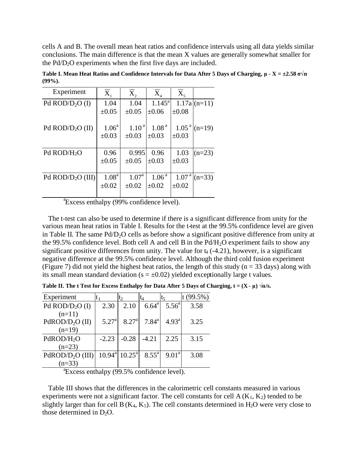cells A and B. The overall mean heat ratios and confidence intervals using all data yields similar conclusions. The main difference is that the mean X values are generally somewhat smaller for the Pd/D2O experiments when the first five days are included.

| Experiment         | $\mathbf{X}_{1}$  | $X_{2}$        | $X_{4}$           | $X_{\varsigma}$   |                |
|--------------------|-------------------|----------------|-------------------|-------------------|----------------|
| Pd $ROD/D2O$ (I)   | 1.04              | 1.04           | $1.145^{\rm a}$   |                   | $1.17a(n=11)$  |
|                    | $\pm 0.05$        | $\pm 0.05$     | $\pm 0.06$        | $\pm 0.08$        |                |
|                    |                   |                |                   |                   |                |
| Pd $ROD/D2O (II)$  | 1.06 <sup>a</sup> | $1.10^{a}$     | 1.08 <sup>a</sup> |                   | $1.05a$ (n=19) |
|                    | $\pm 0.03$        | $\pm 0.03$     | $\pm 0.03$        | $\pm 0.03$        |                |
|                    |                   |                |                   |                   |                |
| Pd $ROD/H2O$       | 0.96              | 0.995          | 0.96              | 1.03              | $(n=23)$       |
|                    | $\pm 0.05$        | $\pm 0.05$     | $\pm 0.03$        | $\pm 0.03$        |                |
|                    |                   |                |                   |                   |                |
| Pd $ROD/D2O (III)$ | 1.08 <sup>a</sup> | $1.07^{\rm a}$ | 1.06 <sup>a</sup> | 1.07 <sup>a</sup> | $(n=33)$       |
|                    | $\pm 0.02$        | $\pm 0.02$     | $\pm 0.02$        | $\pm 0.02$        |                |
|                    |                   |                |                   |                   |                |

**Table I. Mean Heat Ratios and Confidence Intervals for Data After 5 Days of Charging, μ- X = ±2.58 σ√n (99%).**

<sup>a</sup> Excess enthalpy (99% confidence level).

The t-test can also be used to determine if there is a significant difference from unity for the various mean heat ratios in Table I. Results for the t-test at the 99.5% confidence level are given in Table II. The same  $Pd/D<sub>2</sub>O$  cells as before show a significant positive difference from unity at the 99.5% confidence level. Both cell A and cell B in the  $Pd/H<sub>2</sub>O$  experiment fails to show any significant positive differences from unity. The value for  $t_4$  (-4.21), however, is a significant negative difference at the 99.5% confidence level. Although the third cold fusion experiment (Figure 7) did not yield the highest heat ratios, the length of this study ( $n = 33$  days) along with its small mean standard deviation ( $s = \pm 0.02$ ) yielded exceptionally large t values.

| Experiment                   |                   | $t_2$              | t4             | t5                | t(99.5%) |
|------------------------------|-------------------|--------------------|----------------|-------------------|----------|
| Pd $ROD/D2O$ (I)             | 2.30              | 2.10               | $6.64^{\circ}$ | $5.56^{a}$        | 3.58     |
| $(n=11)$                     |                   |                    |                |                   |          |
| PdROD/D <sub>2</sub> O (II)  | 5.27 <sup>a</sup> | 8.27 <sup>a</sup>  | $7.84^{\rm a}$ | 4.93 <sup>a</sup> | 3.25     |
| $(n=19)$                     |                   |                    |                |                   |          |
| PdROD/H <sub>2</sub> O       | $-2.23$           | $-0.28$            | -4.21          | 2.25              | 3.15     |
| $(n=23)$                     |                   |                    |                |                   |          |
| PdROD/D <sub>2</sub> O (III) | $10.94^{\circ}$   | $10.25^{\text{a}}$ | $8.55^{\circ}$ | $9.01^{\text{a}}$ | 3.08     |
| $(n=33)$                     |                   |                    |                |                   |          |

**Table II. The t Test for Excess Enthalpy for Data After 5 Days of Charging,**  $t = (X - \mu) \sqrt{n/s}$ **.** 

<sup>a</sup>Excess enthalpy (99.5% confidence level).

Table III shows that the differences in the calorimetric cell constants measured in various experiments were not a significant factor. The cell constants for cell  $A(K_1, K_2)$  tended to be slightly larger than for cell B( $K_4$ ,  $K_5$ ). The cell constants determined in H<sub>2</sub>O were very close to those determined in  $D_2O$ .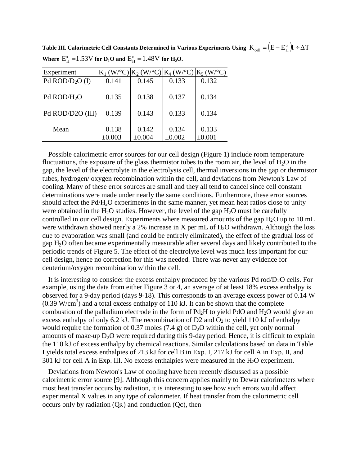| Experiment              |        | $K_1(W^{\circ}C)[K_2(W^{\circ}C)[K_4(W^{\circ}C)[K_5(W^{\circ}C)]$ |        |        |
|-------------------------|--------|--------------------------------------------------------------------|--------|--------|
| Pd $ROD/D2O$ (I)        | 0.141  | 0.145                                                              | 0.133  | 0.132  |
| Pd ROD/H <sub>2</sub> O | 0.135  | 0.138                                                              | 0.137  | 0.134  |
| Pd ROD/D2O (III)        | 0.139  | 0.143                                                              | 0.133  | 0.134  |
| Mean                    | 0.138  | 0.142                                                              | 0.134  | 0.133  |
|                         | ±0.003 | ±0.004                                                             | ±0.002 | ±0.001 |

Table III. Calorimetric Cell Constants Determined in Various Experiments Using  $\ K_{\rm cell} = \Bigr( E - E_{\rm H}^{\rm o} \Bigr) I \div \Delta T$ **Where**  $E_H^{\circ} = 1.53V$  for  $D_2O$  and  $E_H^{\circ} = 1.48V$  for  $H_2O$ .

Possible calorimetric error sources for our cell design (Figure 1) include room temperature fluctuations, the exposure of the glass thermistor tubes to the room air, the level of  $H_2O$  in the gap, the level of the electrolyte in the electrolysis cell, thermal inversions in the gap or thermistor tubes, hydrogen/ oxygen recombination within the cell, and deviations from Newton's Law of cooling. Many of these error sources are small and they all tend to cancel since cell constant determinations were made under nearly the same conditions. Furthermore, these error sources should affect the Pd/H<sub>2</sub>O experiments in the same manner, yet mean heat ratios close to unity were obtained in the  $H_2O$  studies. However, the level of the gap  $H_2O$  must be carefully controlled in our cell design. Experiments where measured amounts of the gap  $H_2O$  up to 10 mL were withdrawn showed nearly a 2% increase in X per mL of H<sub>2</sub>O withdrawn. Although the loss due to evaporation was small (and could be entirely eliminated), the effect of the gradual loss of gap H2O often became experimentally measurable after several days and likely contributed to the periodic trends of Figure 5. The effect of the electrolyte level was much less important for our cell design, hence no correction for this was needed. There was never any evidence for deuterium/oxygen recombination within the cell.

It is interesting to consider the excess enthalpy produced by the various Pd rod/ $D_2O$  cells. For example, using the data from either Figure 3 or 4, an average of at least 18% excess enthalpy is observed for a 9-day period (days 9-18). This corresponds to an average excess power of 0.14 W  $(0.39 \text{ W/cm}^3)$  and a total excess enthalpy of 110 kJ. It can be shown that the complete combustion of the palladium electrode in the form of Pd2H to yield PdO and H2O would give an excess enthalpy of only 6.2 kJ. The recombination of D2 and  $O_2$  to yield 110 kJ of enthalpy would require the formation of 0.37 moles (7.4 g) of  $D_2O$  within the cell, yet only normal amounts of make-up  $D_2O$  were required during this 9-day period. Hence, it is difficult to explain the 110 kJ of excess enthalpy by chemical reactions. Similar calculations based on data in Table I yields total excess enthalpies of 213 kJ for cell B in Exp. I, 217 kJ for cell A in Exp. II, and 301 kJ for cell A in Exp. III. No excess enthalpies were measured in the  $H_2O$  experiment.

Deviations from Newton's Law of cooling have been recently discussed as a possible calorimetric error source [9]. Although this concern applies mainly to Dewar calorimeters where most heat transfer occurs by radiation, it is interesting to see how such errors would affect experimental X values in any type of calorimeter. If heat transfer from the calorimetric cell occurs only by radiation (QR) and conduction (Qc), then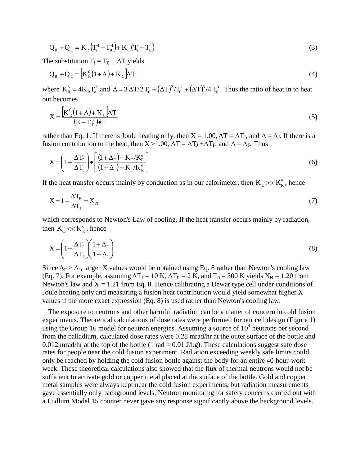$$
Q_R + Q_C = K_R (T_i^4 - T_0^4) + K_C (T_i - T_0)
$$
\n(3)

The substitution  $T_i = T_0 + \Delta T$  yields

$$
\mathbf{Q}_{R} + \mathbf{Q}_{C} = \left[\mathbf{K}_{R}^{0}(1+\Delta) + \mathbf{K}_{C}\right]\Delta T
$$
\n(4)

where  $K_{R}^{\circ} = 4K_{R}T_{o}^{3}$  and  $\Delta = 3 \Delta T/2 T_{0} + (\Delta T)^{2}/T_{0}^{2} + (\Delta T)^{3}/4 T_{0}^{3}$ 2  $(AT)^3$  $\Delta = 3 \Delta T / 2 T_0 + (\Delta T)^2 / T_0^2 + (\Delta T)^3 / 4 T_0^3$ . Thus the ratio of heat in to heat out becomes

$$
X = \frac{\left[K_R^0 (1 + \Delta) + K_C \right] \Delta T}{\left(E - E_H^0\right) \bullet I} \tag{5}
$$

rather than Eq. 1. If there is Joule heating only, then  $X = 1.00$ ,  $\Delta T = \Delta T_J$ , and  $\Delta = \Delta_J$ . If there is a fusion contribution to the heat, then  $X > 1.00$ ,  $\Delta T = \Delta T_J + \Delta T_F$ , and  $\Delta = \Delta_F$ . Thus

$$
X = \left(1 + \frac{\Delta T_{F}}{\Delta T_{J}}\right) \bullet \left[\frac{\left(1 + \Delta_{F}\right) + K_{C}/K_{R}^{\circ}}{\left(1 + \Delta_{J}\right) + K_{C}/K_{R}^{\circ}}\right]
$$
\n
$$
\tag{6}
$$

If the heat transfer occurs mainly by conduction as in our calorimeter, then  $K_c \gg K_R^{\circ}$ , hence

$$
X = 1 + \frac{\Delta T_{F}}{\Delta T_{J}} = X_{N}
$$
\n<sup>(7)</sup>

which corresponds to Newton's Law of cooling. If the heat transfer occurs mainly by radiation, then  $K_C \ll K_R^{\circ}$ , hence

$$
X = \left(1 + \frac{\Delta T_{F}}{\Delta T_{J}}\right) \left(\frac{1 + \Delta_{F}}{1 + \Delta_{J}}\right)
$$
\n(8)

Since  $\Delta_F > \Delta_J$ , larger X values would be obtained using Eq. 8 rather than Newton's cooling law (Eq. 7). For example, assuming  $\Delta T_J = 10 \text{ K}$ ,  $\Delta T_F = 2 \text{ K}$ , and  $T_0 = 300 \text{ K}$  yields  $X_N = 1.20 \text{ from}$ Newton's law and  $X = 1.21$  from Eq. 8. Hence calibrating a Dewar type cell under conditions of Joule heating only and measuring a fusion heat contribution would yield somewhat higher X values if the more exact expression (Eq. 8) is used rather than Newton's cooling law.

The exposure to neutrons and other harmful radiation can be a matter of concern in cold fusion experiments. Theoretical calculations of dose rates were performed for our cell design (Figure 1) using the Group 16 model for neutron energies. Assuming a source of  $10^4$  neutrons per second from the palladium, calculated dose rates were 0.28 mrad/hr at the outer surface of the bottle and 0.012 mrad/hr at the top of the bottle (1 rad  $= 0.01$  J/kg). These calculations suggest safe dose rates for people near the cold fusion experiment. Radiation exceeding weekly safe limits could only be reached by holding the cold fusion bottle against the body for an entire 40-hour-work week. These theoretical calculations also showed that the flux of thermal neutrons would not be sufficient to activate gold or copper metal placed at the surface of the bottle. Gold and copper metal samples were always kept near the cold fusion experiments, but radiation measurements gave essentially only background levels. Neutron monitoring for safety concerns carried out with a Ludlum Model 15 counter never gave any response significantly above the background levels.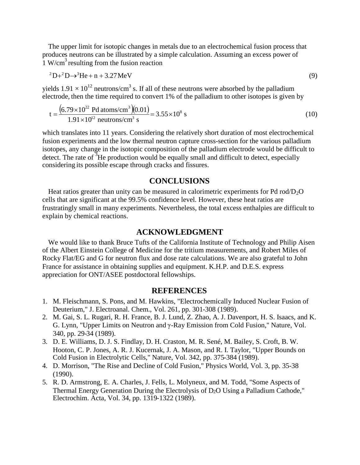The upper limit for isotopic changes in metals due to an electrochemical fusion process that produces neutrons can be illustrated by a simple calculation. Assuming an excess power of  $\frac{1}{1}$  W/cm<sup>3</sup> resulting from the fusion reaction

$$
{}^{2}D+{}^{2}D \rightarrow {}^{3}He + n + 3.27 MeV
$$
 (9)

yields  $1.91 \times 10^{12}$  neutrons/cm<sup>3</sup> s. If all of these neutrons were absorbed by the palladium electrode, then the time required to convert  $1\%$  of the palladium to other isotopes is given by

$$
t = \frac{(6.79 \times 10^{22} \text{ Pd atoms/cm}^3)(0.01)}{1.91 \times 10^{12} \text{ neutrons/cm}^3 \text{ s}} = 3.55 \times 10^8 \text{ s}
$$
(10)

which translates into 11 years. Considering the relatively short duration of most electrochemical fusion experiments and the low thermal neutron capture cross-section for the various palladium isotopes, any change in the isotopic composition of the palladium electrode would be difficult to detect. The rate of  ${}^{3}$ He production would be equally small and difficult to detect, especially considering its possible escape through cracks and fissures.

# **CONCLUSIONS**

Heat ratios greater than unity can be measured in calorimetric experiments for Pd rod/ $D_2O$ cells that are significant at the 99.5% confidence level. However, these heat ratios are frustratingly small in many experiments. Nevertheless, the total excess enthalpies are difficult to explain by chemical reactions.

#### **ACKNOWLEDGMENT**

We would like to thank Bruce Tufts of the California Institute of Technology and Philip Aisen of the Albert Einstein College of Medicine for the tritium measurements, and Robert Miles of Rocky Flat/EG and G for neutron flux and dose rate calculations. We are also grateful to John France for assistance in obtaining supplies and equipment. K.H.P. and D.E.S. express appreciation for ONT/ASEE postdoctoral fellowships.

## **REFERENCES**

- 1. M. Fleischmann, S. Pons, and M. Hawkins, "Electrochemically Induced Nuclear Fusion of Deuterium," J. Electroanal. Chem., Vol. 261, pp. 301-308 (1989).
- 2. M. Gai, S. L. Rugari, R. H. France, B. J. Lund, Z. Zhao, A. J. Davenport, H. S. Isaacs, and K. G. Lynn, "Upper Limits on Neutron and γ-Ray Emission from Cold Fusion," Nature, Vol. 340, pp. 29-34 (1989).
- 3. D. E. Williams, D. J. S. Findlay, D. H. Craston, M. R. Sené, M. Bailey, S. Croft, B. W. Hooton, C. P. Jones, A. R. J. Kucernak, J. A. Mason, and R. I. Taylor, "Upper Bounds on Cold Fusion in Electrolytic Cells," Nature, Vol. 342, pp. 375-384 (1989).
- 4. D. Morrison, "The Rise and Decline of Cold Fusion," Physics World, Vol. 3, pp. 35-38 (1990).
- 5. R. D. Armstrong, E. A. Charles, J. Fells, L. Molyneux, and M. Todd, "Some Aspects of Thermal Energy Generation During the Electrolysis of D<sub>2</sub>O Using a Palladium Cathode," Electrochim. Acta, Vol. 34, pp. 1319-1322 (1989).